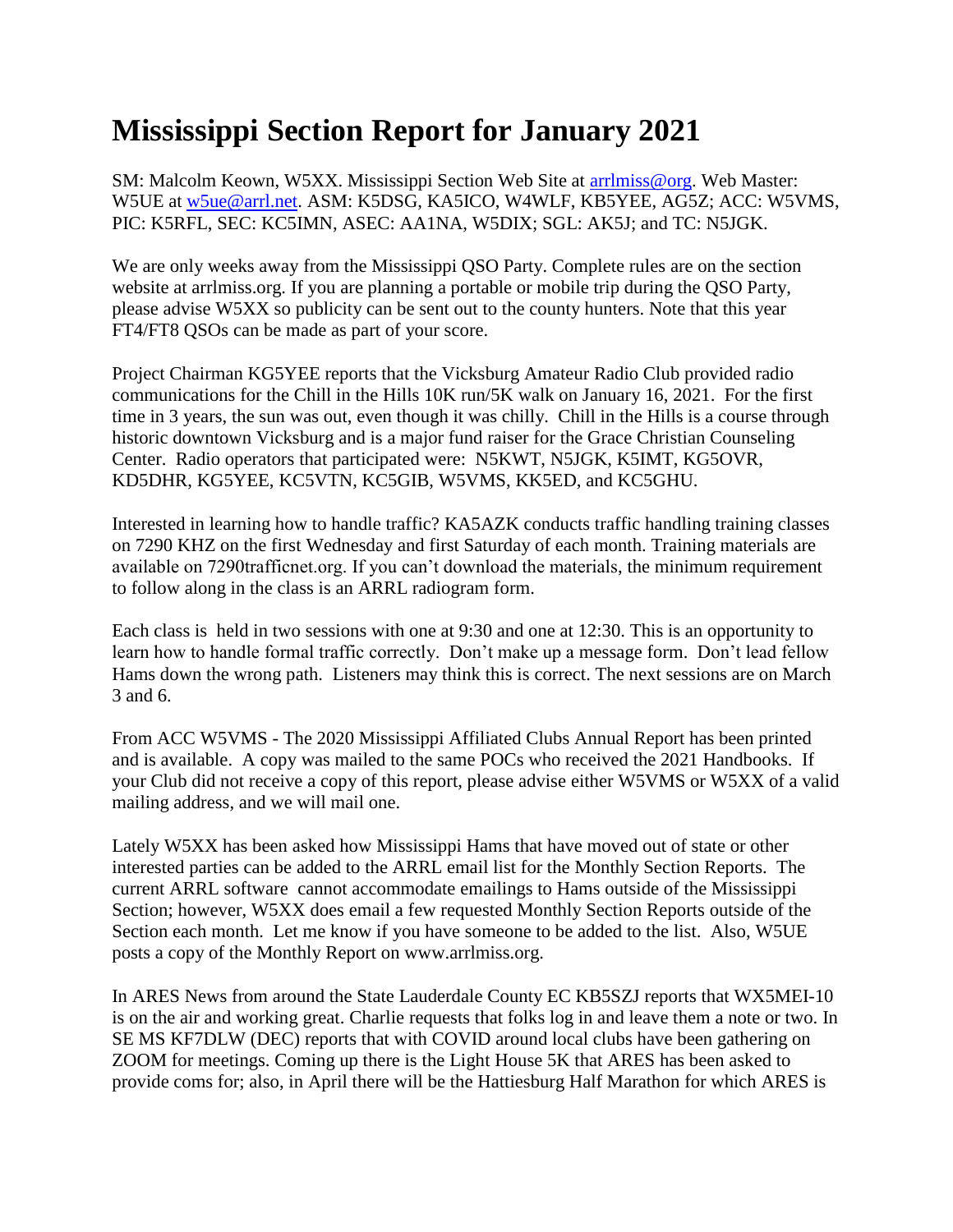## **Mississippi Section Report for January 2021**

SM: Malcolm Keown, W5XX. Mississippi Section Web Site at [arrlmiss@org.](mailto:arrlmiss@org) Web Master: W5UE at [w5ue@arrl.net.](mailto:w5ue@arrl.net) ASM: K5DSG, KA5ICO, W4WLF, KB5YEE, AG5Z; ACC: W5VMS, PIC: K5RFL, SEC: KC5IMN, ASEC: AA1NA, W5DIX; SGL: AK5J; and TC: N5JGK.

We are only weeks away from the Mississippi QSO Party. Complete rules are on the section website at arrlmiss.org. If you are planning a portable or mobile trip during the QSO Party, please advise W5XX so publicity can be sent out to the county hunters. Note that this year FT4/FT8 QSOs can be made as part of your score.

Project Chairman KG5YEE reports that the Vicksburg Amateur Radio Club provided radio communications for the Chill in the Hills 10K run/5K walk on January 16, 2021. For the first time in 3 years, the sun was out, even though it was chilly. Chill in the Hills is a course through historic downtown Vicksburg and is a major fund raiser for the Grace Christian Counseling Center. Radio operators that participated were: N5KWT, N5JGK, K5IMT, KG5OVR, KD5DHR, KG5YEE, KC5VTN, KC5GIB, W5VMS, KK5ED, and KC5GHU.

Interested in learning how to handle traffic? KA5AZK conducts traffic handling training classes on 7290 KHZ on the first Wednesday and first Saturday of each month. Training materials are available on 7290trafficnet.org. If you can't download the materials, the minimum requirement to follow along in the class is an ARRL radiogram form.

Each class is held in two sessions with one at 9:30 and one at 12:30. This is an opportunity to learn how to handle formal traffic correctly. Don't make up a message form. Don't lead fellow Hams down the wrong path. Listeners may think this is correct. The next sessions are on March 3 and 6.

From ACC W5VMS - The 2020 Mississippi Affiliated Clubs Annual Report has been printed and is available. A copy was mailed to the same POCs who received the 2021 Handbooks. If your Club did not receive a copy of this report, please advise either W5VMS or W5XX of a valid mailing address, and we will mail one.

Lately W5XX has been asked how Mississippi Hams that have moved out of state or other interested parties can be added to the ARRL email list for the Monthly Section Reports. The current ARRL software cannot accommodate emailings to Hams outside of the Mississippi Section; however, W5XX does email a few requested Monthly Section Reports outside of the Section each month. Let me know if you have someone to be added to the list. Also, W5UE posts a copy of the Monthly Report on www.arrlmiss.org.

In ARES News from around the State Lauderdale County EC KB5SZJ reports that WX5MEI-10 is on the air and working great. Charlie requests that folks log in and leave them a note or two. In SE MS KF7DLW (DEC) reports that with COVID around local clubs have been gathering on ZOOM for meetings. Coming up there is the Light House 5K that ARES has been asked to provide coms for; also, in April there will be the Hattiesburg Half Marathon for which ARES is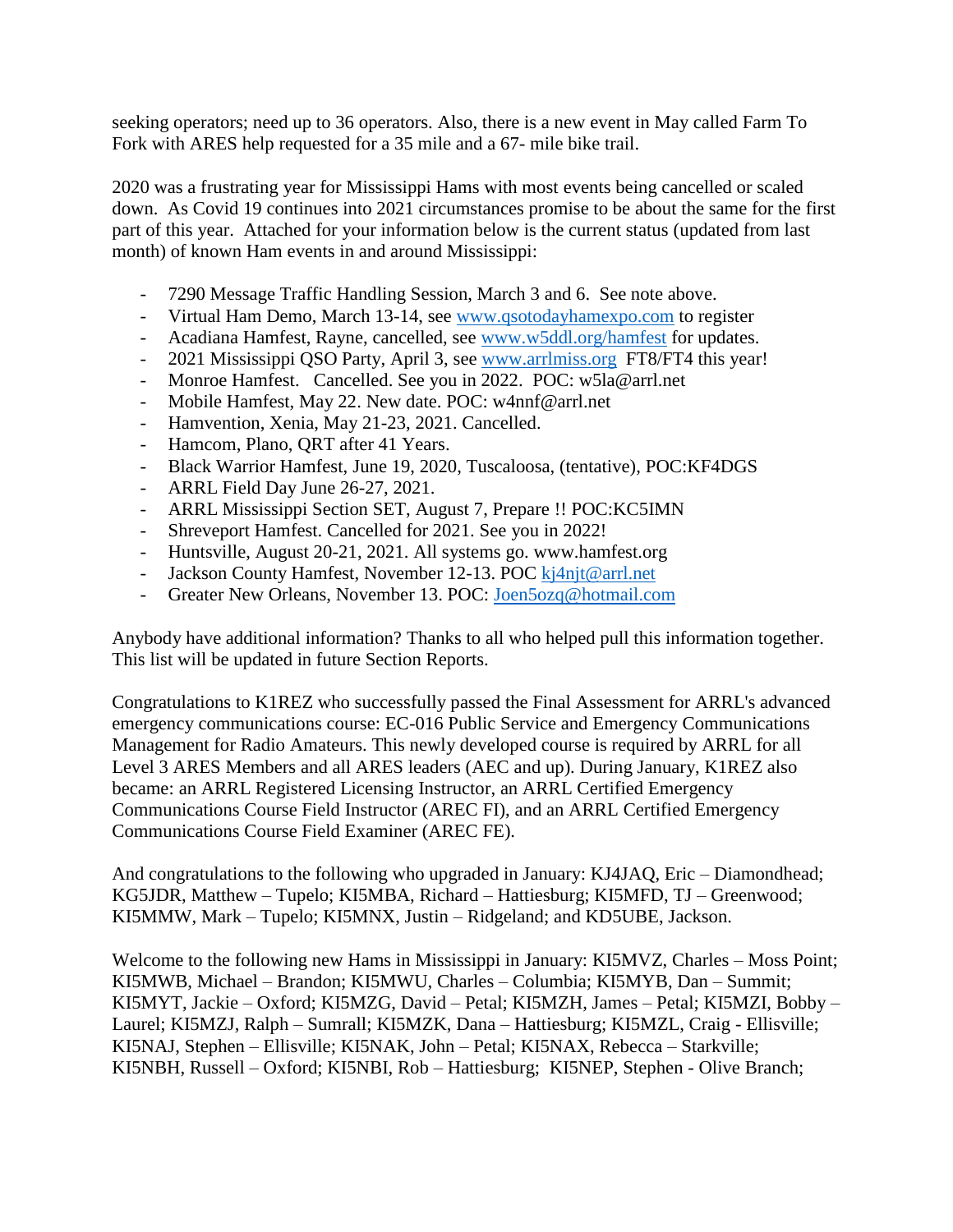seeking operators; need up to 36 operators. Also, there is a new event in May called Farm To Fork with ARES help requested for a 35 mile and a 67- mile bike trail.

2020 was a frustrating year for Mississippi Hams with most events being cancelled or scaled down. As Covid 19 continues into 2021 circumstances promise to be about the same for the first part of this year. Attached for your information below is the current status (updated from last month) of known Ham events in and around Mississippi:

- 7290 Message Traffic Handling Session, March 3 and 6. See note above.
- Virtual Ham Demo, March 13-14, see [www.qsotodayhamexpo.com](http://www.qsotodayhamexpo.com/) to register
- Acadiana Hamfest, Rayne, cancelled, see [www.w5ddl.org/hamfest](http://www.w5ddl.org/hamfest) for updates.
- 2021 Mississippi QSO Party, April 3, see [www.arrlmiss.org](http://www.arrlmiss.org/) FT8/FT4 this year!
- Monroe Hamfest. Cancelled. See you in 2022. POC: w5la@arrl.net
- Mobile Hamfest, May 22. New date. POC: w4nnf@arrl.net
- Hamvention, Xenia, May 21-23, 2021. Cancelled.
- Hamcom, Plano, QRT after 41 Years.
- Black Warrior Hamfest, June 19, 2020, Tuscaloosa, (tentative), POC:KF4DGS
- ARRL Field Day June 26-27, 2021.
- ARRL Mississippi Section SET, August 7, Prepare !! POC:KC5IMN
- Shreveport Hamfest. Cancelled for 2021. See you in 2022!
- Huntsville, August 20-21, 2021. All systems go. www.hamfest.org
- Jackson County Hamfest, November 12-13. POC [kj4njt@arrl.net](mailto:kj4njt@arrl.net)
- Greater New Orleans, November 13. POC: [Joen5ozq@hotmail.com](mailto:Joen5ozq@hotmail.com)

Anybody have additional information? Thanks to all who helped pull this information together. This list will be updated in future Section Reports.

Congratulations to K1REZ who successfully passed the Final Assessment for ARRL's advanced emergency communications course: EC-016 Public Service and Emergency Communications Management for Radio Amateurs. This newly developed course is required by ARRL for all Level 3 ARES Members and all ARES leaders (AEC and up). During January, K1REZ also became: an ARRL Registered Licensing Instructor, an ARRL Certified Emergency Communications Course Field Instructor (AREC FI), and an ARRL Certified Emergency Communications Course Field Examiner (AREC FE).

And congratulations to the following who upgraded in January: KJ4JAQ, Eric – Diamondhead; KG5JDR, Matthew – Tupelo; KI5MBA, Richard – Hattiesburg; KI5MFD, TJ – Greenwood; KI5MMW, Mark – Tupelo; KI5MNX, Justin – Ridgeland; and KD5UBE, Jackson.

Welcome to the following new Hams in Mississippi in January: KI5MVZ, Charles – Moss Point; KI5MWB, Michael – Brandon; KI5MWU, Charles – Columbia; KI5MYB, Dan – Summit; KI5MYT, Jackie – Oxford; KI5MZG, David – Petal; KI5MZH, James – Petal; KI5MZI, Bobby – Laurel; KI5MZJ, Ralph – Sumrall; KI5MZK, Dana – Hattiesburg; KI5MZL, Craig - Ellisville; KI5NAJ, Stephen – Ellisville; KI5NAK, John – Petal; KI5NAX, Rebecca – Starkville; KI5NBH, Russell – Oxford; KI5NBI, Rob – Hattiesburg; KI5NEP, Stephen - Olive Branch;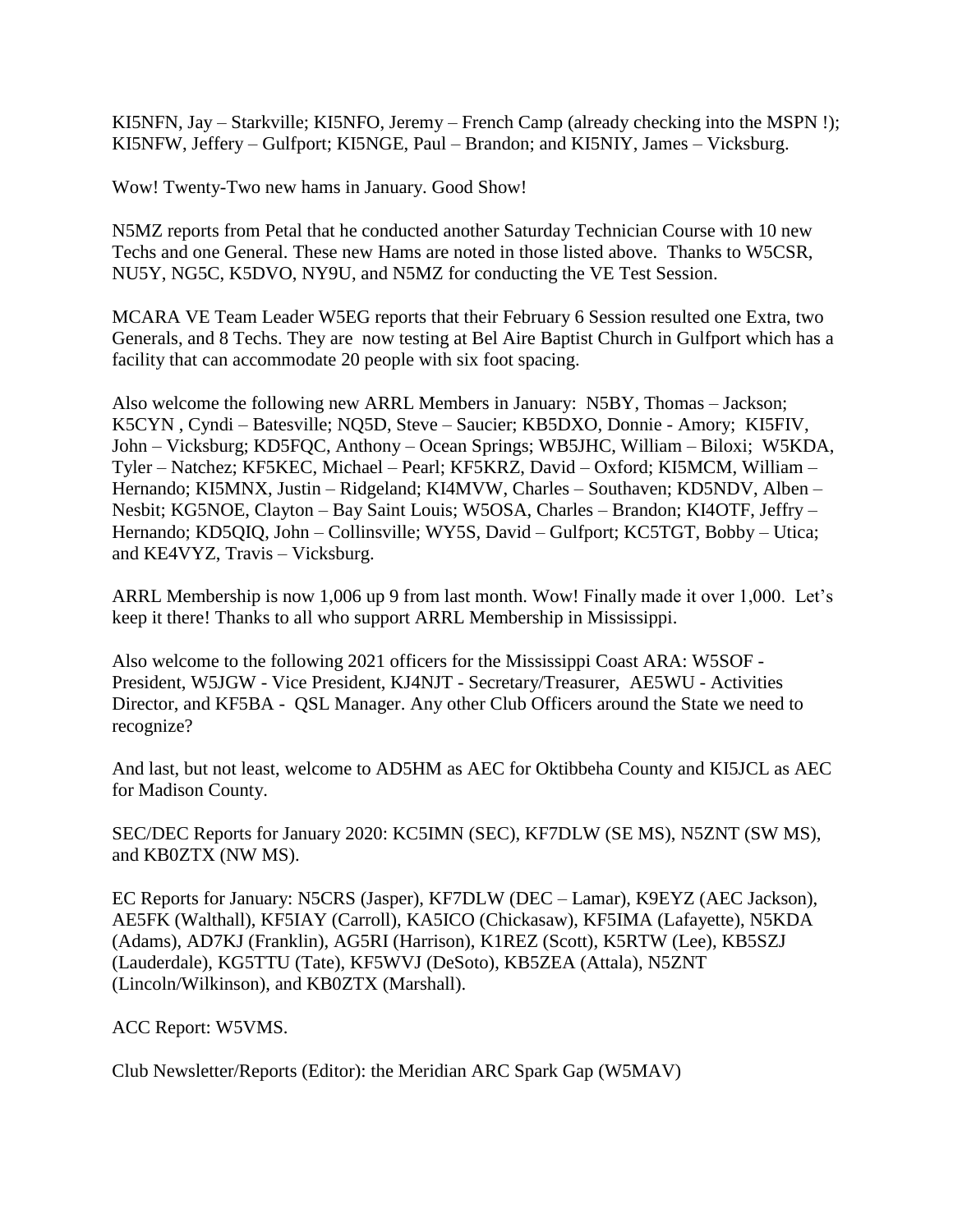KI5NFN, Jay – Starkville; KI5NFO, Jeremy – French Camp (already checking into the MSPN !); KI5NFW, Jeffery – Gulfport; KI5NGE, Paul – Brandon; and KI5NIY, James – Vicksburg.

Wow! Twenty-Two new hams in January. Good Show!

N5MZ reports from Petal that he conducted another Saturday Technician Course with 10 new Techs and one General. These new Hams are noted in those listed above. Thanks to W5CSR, NU5Y, NG5C, K5DVO, NY9U, and N5MZ for conducting the VE Test Session.

MCARA VE Team Leader W5EG reports that their February 6 Session resulted one Extra, two Generals, and 8 Techs. They are now testing at Bel Aire Baptist Church in Gulfport which has a facility that can accommodate 20 people with six foot spacing.

Also welcome the following new ARRL Members in January: N5BY, Thomas – Jackson; K5CYN , Cyndi – Batesville; NQ5D, Steve – Saucier; KB5DXO, Donnie - Amory; KI5FIV, John – Vicksburg; KD5FQC, Anthony – Ocean Springs; WB5JHC, William – Biloxi; W5KDA, Tyler – Natchez; KF5KEC, Michael – Pearl; KF5KRZ, David – Oxford; KI5MCM, William – Hernando; KI5MNX, Justin – Ridgeland; KI4MVW, Charles – Southaven; KD5NDV, Alben – Nesbit; KG5NOE, Clayton – Bay Saint Louis; W5OSA, Charles – Brandon; KI4OTF, Jeffry – Hernando; KD5QIQ, John – Collinsville; WY5S, David – Gulfport; KC5TGT, Bobby – Utica; and KE4VYZ, Travis – Vicksburg.

ARRL Membership is now 1,006 up 9 from last month. Wow! Finally made it over 1,000. Let's keep it there! Thanks to all who support ARRL Membership in Mississippi.

Also welcome to the following 2021 officers for the Mississippi Coast ARA: W5SOF - President, W5JGW - Vice President, KJ4NJT - Secretary/Treasurer, AE5WU - Activities Director, and KF5BA - QSL Manager. Any other Club Officers around the State we need to recognize?

And last, but not least, welcome to AD5HM as AEC for Oktibbeha County and KI5JCL as AEC for Madison County.

SEC/DEC Reports for January 2020: KC5IMN (SEC), KF7DLW (SE MS), N5ZNT (SW MS), and KB0ZTX (NW MS).

EC Reports for January: N5CRS (Jasper), KF7DLW (DEC – Lamar), K9EYZ (AEC Jackson), AE5FK (Walthall), KF5IAY (Carroll), KA5ICO (Chickasaw), KF5IMA (Lafayette), N5KDA (Adams), AD7KJ (Franklin), AG5RI (Harrison), K1REZ (Scott), K5RTW (Lee), KB5SZJ (Lauderdale), KG5TTU (Tate), KF5WVJ (DeSoto), KB5ZEA (Attala), N5ZNT (Lincoln/Wilkinson), and KB0ZTX (Marshall).

ACC Report: W5VMS.

Club Newsletter/Reports (Editor): the Meridian ARC Spark Gap (W5MAV)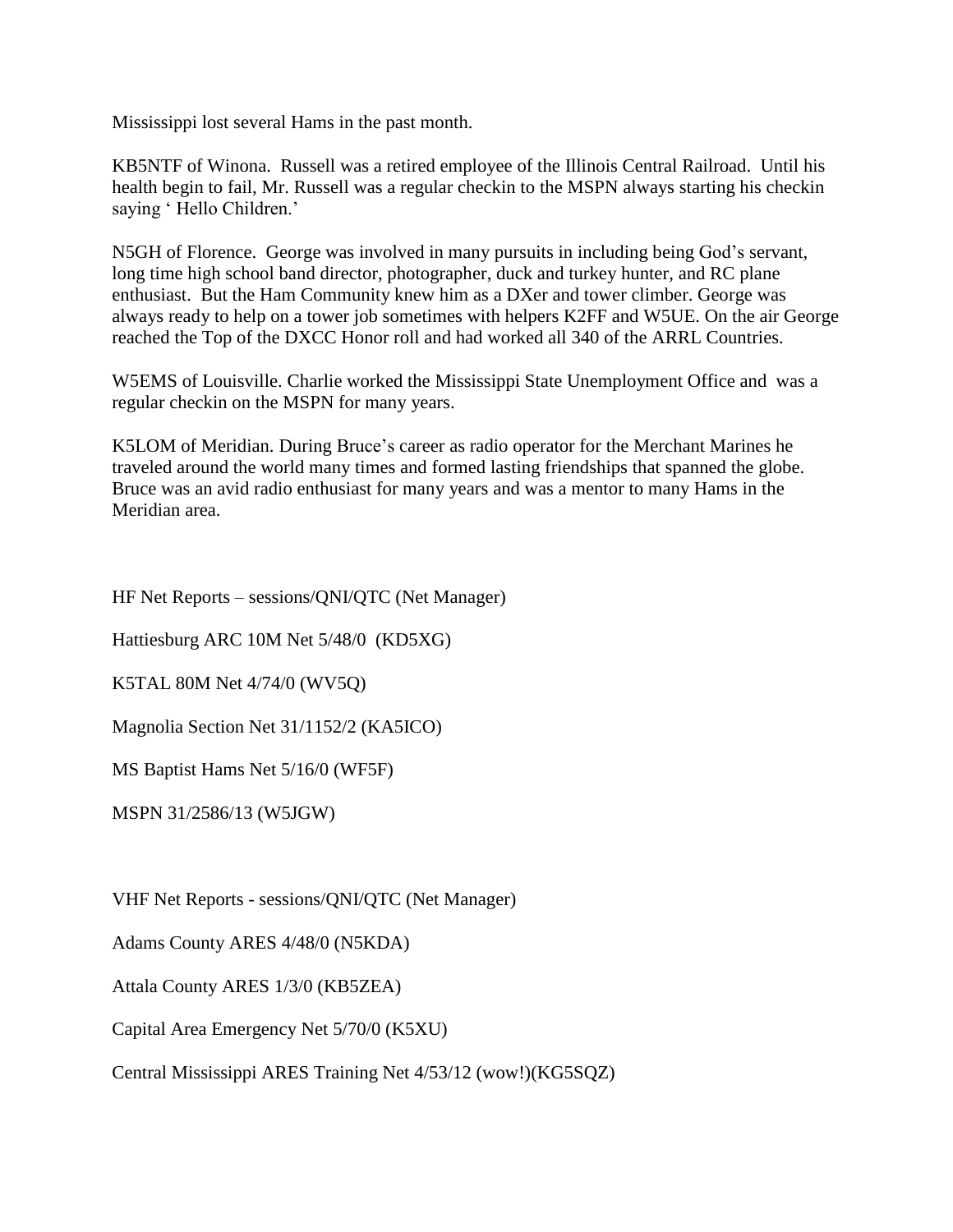Mississippi lost several Hams in the past month.

KB5NTF of Winona. Russell was a retired employee of the Illinois Central Railroad. Until his health begin to fail, Mr. Russell was a regular checkin to the MSPN always starting his checkin saying ' Hello Children.'

N5GH of Florence. George was involved in many pursuits in including being God's servant, long time high school band director, photographer, duck and turkey hunter, and RC plane enthusiast. But the Ham Community knew him as a DXer and tower climber. George was always ready to help on a tower job sometimes with helpers K2FF and W5UE. On the air George reached the Top of the DXCC Honor roll and had worked all 340 of the ARRL Countries.

W5EMS of Louisville. Charlie worked the Mississippi State Unemployment Office and was a regular checkin on the MSPN for many years.

K5LOM of Meridian. During Bruce's career as radio operator for the Merchant Marines he traveled around the world many times and formed lasting friendships that spanned the globe. Bruce was an avid radio enthusiast for many years and was a mentor to many Hams in the Meridian area.

HF Net Reports – sessions/QNI/QTC (Net Manager)

Hattiesburg ARC 10M Net 5/48/0 (KD5XG)

K5TAL 80M Net 4/74/0 (WV5Q)

Magnolia Section Net 31/1152/2 (KA5ICO)

MS Baptist Hams Net 5/16/0 (WF5F)

MSPN 31/2586/13 (W5JGW)

VHF Net Reports - sessions/QNI/QTC (Net Manager)

Adams County ARES 4/48/0 (N5KDA)

Attala County ARES 1/3/0 (KB5ZEA)

Capital Area Emergency Net 5/70/0 (K5XU)

Central Mississippi ARES Training Net 4/53/12 (wow!)(KG5SQZ)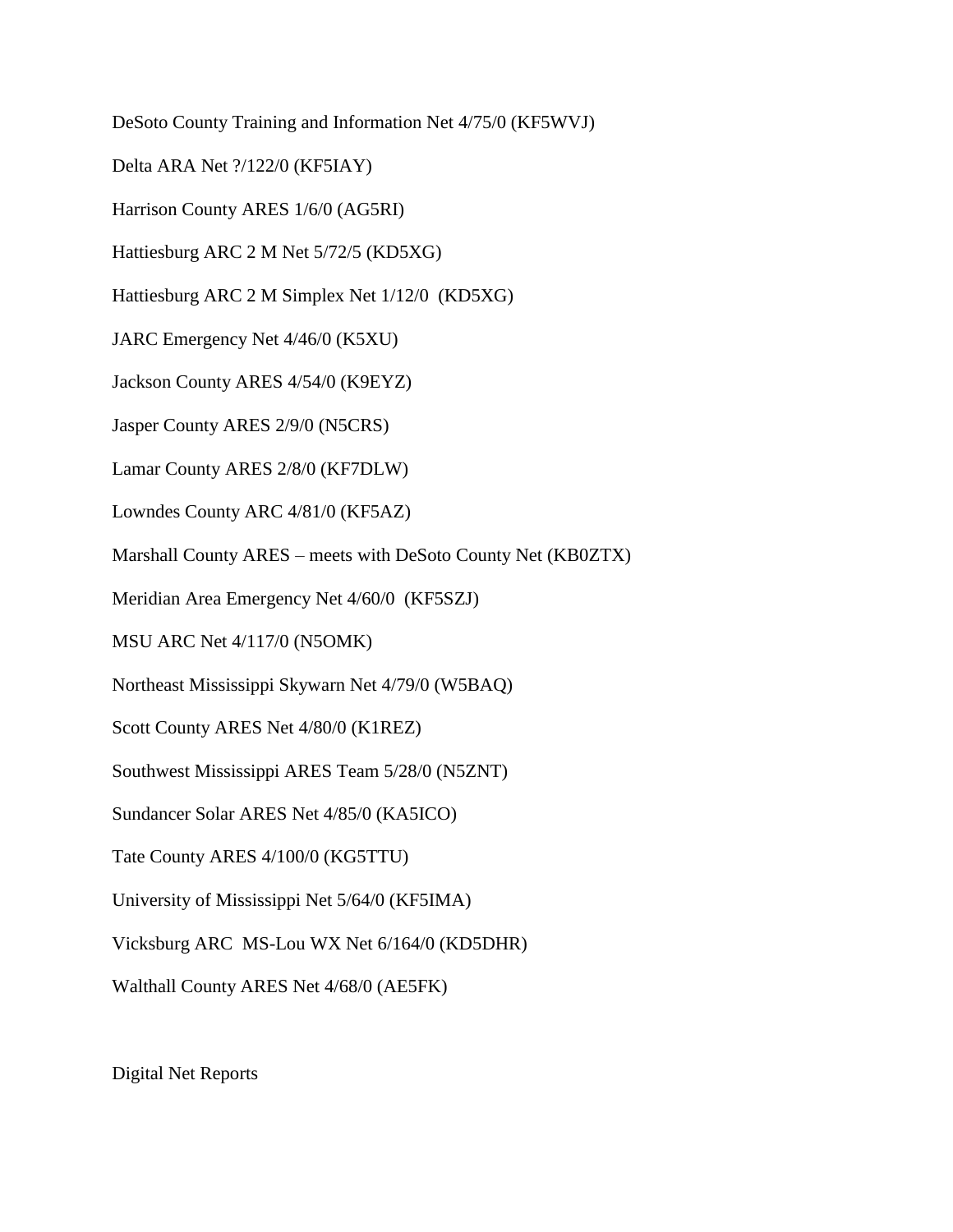DeSoto County Training and Information Net 4/75/0 (KF5WVJ)

Delta ARA Net ?/122/0 (KF5IAY)

Harrison County ARES 1/6/0 (AG5RI)

Hattiesburg ARC 2 M Net 5/72/5 (KD5XG)

Hattiesburg ARC 2 M Simplex Net 1/12/0 (KD5XG)

JARC Emergency Net 4/46/0 (K5XU)

Jackson County ARES 4/54/0 (K9EYZ)

Jasper County ARES 2/9/0 (N5CRS)

Lamar County ARES 2/8/0 (KF7DLW)

Lowndes County ARC 4/81/0 (KF5AZ)

Marshall County ARES – meets with DeSoto County Net (KB0ZTX)

Meridian Area Emergency Net 4/60/0 (KF5SZJ)

MSU ARC Net 4/117/0 (N5OMK)

Northeast Mississippi Skywarn Net 4/79/0 (W5BAQ)

Scott County ARES Net 4/80/0 (K1REZ)

Southwest Mississippi ARES Team 5/28/0 (N5ZNT)

Sundancer Solar ARES Net 4/85/0 (KA5ICO)

Tate County ARES 4/100/0 (KG5TTU)

University of Mississippi Net 5/64/0 (KF5IMA)

Vicksburg ARC MS-Lou WX Net 6/164/0 (KD5DHR)

Walthall County ARES Net 4/68/0 (AE5FK)

Digital Net Reports